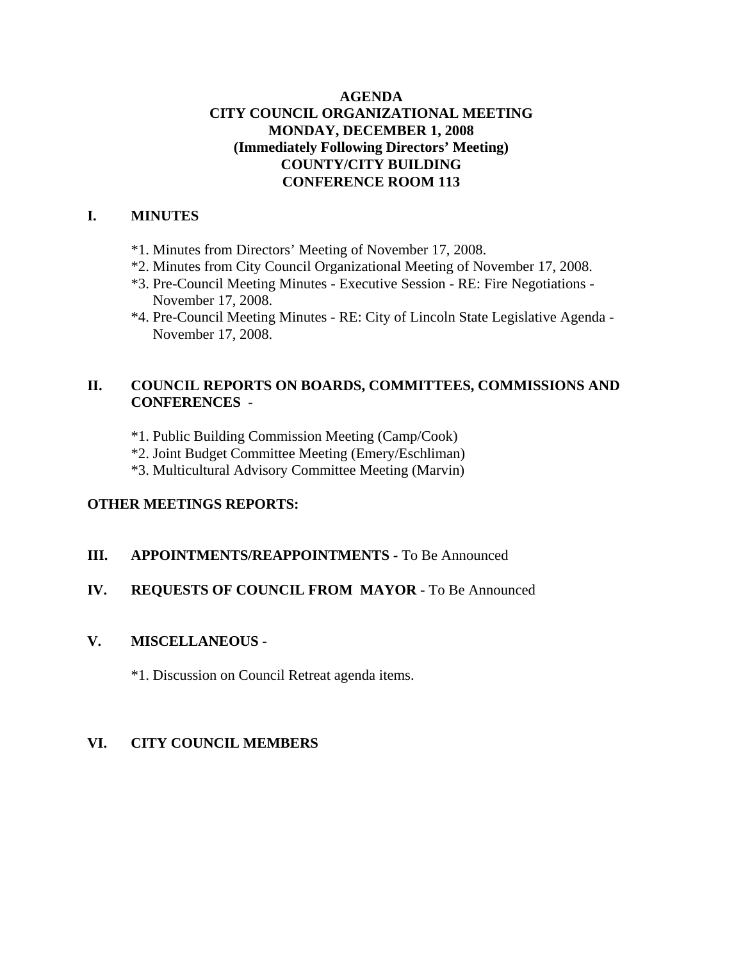### **AGENDA CITY COUNCIL ORGANIZATIONAL MEETING MONDAY, DECEMBER 1, 2008 (Immediately Following Directors' Meeting) COUNTY/CITY BUILDING CONFERENCE ROOM 113**

#### **I. MINUTES**

- \*1. Minutes from Directors' Meeting of November 17, 2008.
- \*2. Minutes from City Council Organizational Meeting of November 17, 2008.
- \*3. Pre-Council Meeting Minutes Executive Session RE: Fire Negotiations November 17, 2008.
- \*4. Pre-Council Meeting Minutes RE: City of Lincoln State Legislative Agenda November 17, 2008.

# **II. COUNCIL REPORTS ON BOARDS, COMMITTEES, COMMISSIONS AND CONFERENCES** -

- \*1. Public Building Commission Meeting (Camp/Cook)
- \*2. Joint Budget Committee Meeting (Emery/Eschliman)
- \*3. Multicultural Advisory Committee Meeting (Marvin)

### **OTHER MEETINGS REPORTS:**

#### **III.** APPOINTMENTS/REAPPOINTMENTS - To Be Announced

# **IV. REQUESTS OF COUNCIL FROM MAYOR -** To Be Announced

#### **V. MISCELLANEOUS -**

\*1. Discussion on Council Retreat agenda items.

# **VI. CITY COUNCIL MEMBERS**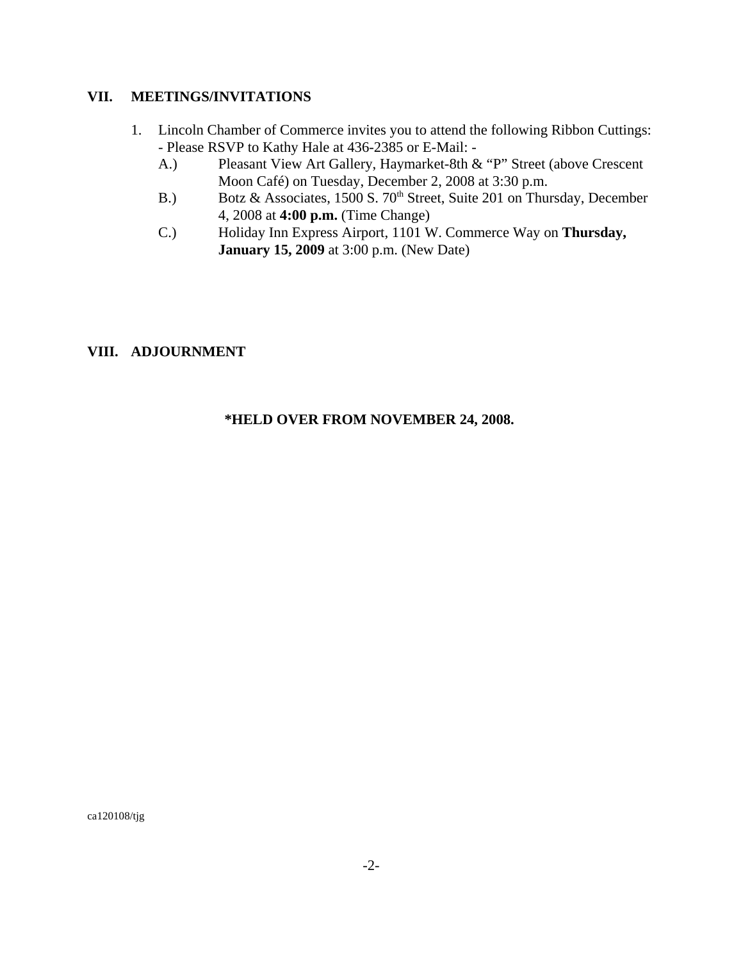#### **VII. MEETINGS/INVITATIONS**

- 1. Lincoln Chamber of Commerce invites you to attend the following Ribbon Cuttings: - Please RSVP to Kathy Hale at 436-2385 or E-Mail: -
	- A.) Pleasant View Art Gallery, Haymarket-8th & "P" Street (above Crescent Moon Café) on Tuesday, December 2, 2008 at 3:30 p.m.
	- B.) Botz & Associates, 1500 S. 70<sup>th</sup> Street, Suite 201 on Thursday, December 4, 2008 at **4:00 p.m.** (Time Change)
	- C.) Holiday Inn Express Airport, 1101 W. Commerce Way on **Thursday, January 15, 2009** at 3:00 p.m. (New Date)

### **VIII. ADJOURNMENT**

#### **\*HELD OVER FROM NOVEMBER 24, 2008.**

ca120108/tjg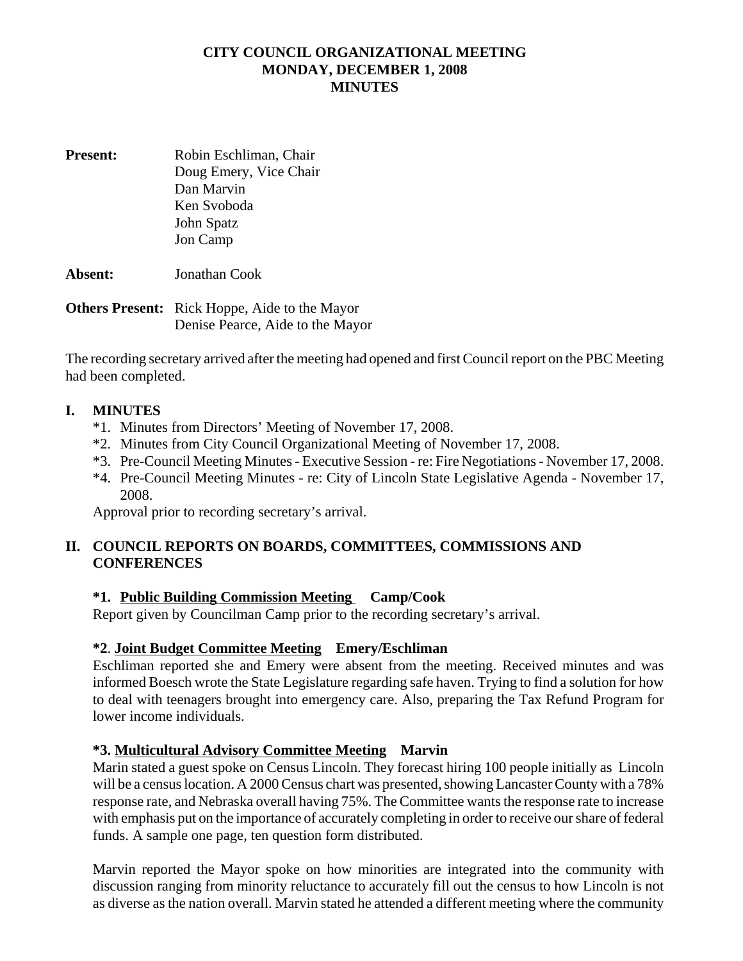# **CITY COUNCIL ORGANIZATIONAL MEETING MONDAY, DECEMBER 1, 2008 MINUTES**

**Present:** Robin Eschliman, Chair Doug Emery, Vice Chair Dan Marvin Ken Svoboda John Spatz Jon Camp

**Absent:** Jonathan Cook

**Others Present:** Rick Hoppe, Aide to the Mayor Denise Pearce, Aide to the Mayor

The recording secretary arrived after the meeting had opened and first Council report on the PBC Meeting had been completed.

### **I. MINUTES**

- \*1. Minutes from Directors' Meeting of November 17, 2008.
- \*2. Minutes from City Council Organizational Meeting of November 17, 2008.
- \*3. Pre-Council Meeting Minutes Executive Session re: Fire Negotiations November 17, 2008.
- \*4. Pre-Council Meeting Minutes re: City of Lincoln State Legislative Agenda November 17, 2008.

Approval prior to recording secretary's arrival.

### **II. COUNCIL REPORTS ON BOARDS, COMMITTEES, COMMISSIONS AND CONFERENCES**

### **\*1. Public Building Commission Meeting Camp/Cook**

Report given by Councilman Camp prior to the recording secretary's arrival.

### **\*2**. **Joint Budget Committee Meeting Emery/Eschliman**

Eschliman reported she and Emery were absent from the meeting. Received minutes and was informed Boesch wrote the State Legislature regarding safe haven. Trying to find a solution for how to deal with teenagers brought into emergency care. Also, preparing the Tax Refund Program for lower income individuals.

### **\*3. Multicultural Advisory Committee Meeting Marvin**

Marin stated a guest spoke on Census Lincoln. They forecast hiring 100 people initially as Lincoln will be a census location. A 2000 Census chart was presented, showing Lancaster County with a 78% response rate, and Nebraska overall having 75%. The Committee wants the response rate to increase with emphasis put on the importance of accurately completing in order to receive our share of federal funds. A sample one page, ten question form distributed.

Marvin reported the Mayor spoke on how minorities are integrated into the community with discussion ranging from minority reluctance to accurately fill out the census to how Lincoln is not as diverse as the nation overall. Marvin stated he attended a different meeting where the community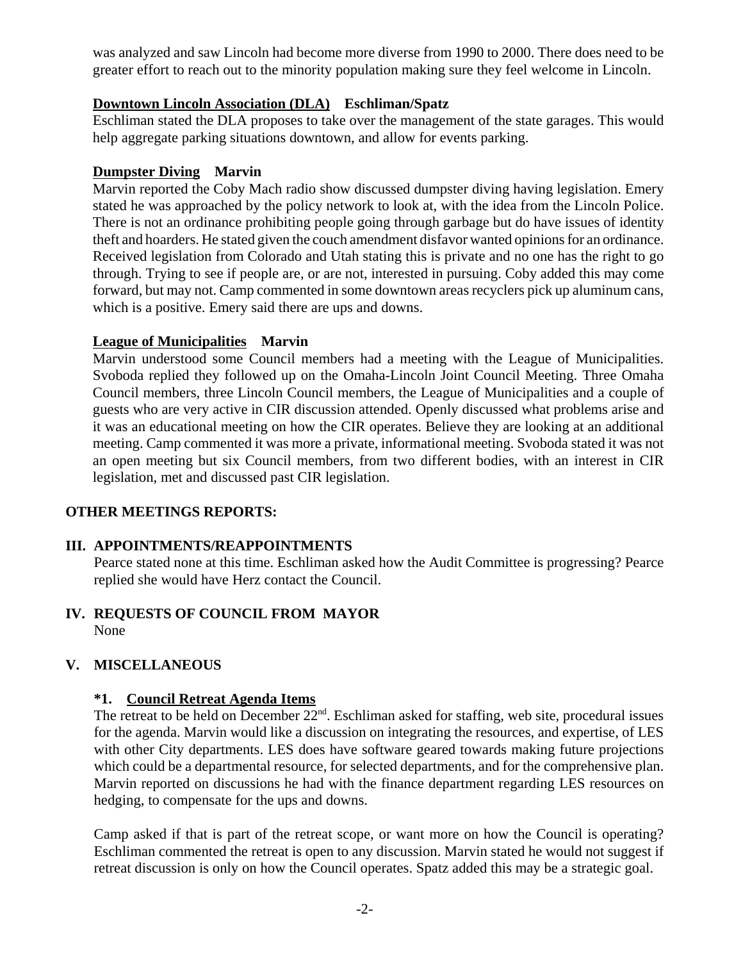was analyzed and saw Lincoln had become more diverse from 1990 to 2000. There does need to be greater effort to reach out to the minority population making sure they feel welcome in Lincoln.

# **Downtown Lincoln Association (DLA) Eschliman/Spatz**

Eschliman stated the DLA proposes to take over the management of the state garages. This would help aggregate parking situations downtown, and allow for events parking.

# **Dumpster Diving Marvin**

Marvin reported the Coby Mach radio show discussed dumpster diving having legislation. Emery stated he was approached by the policy network to look at, with the idea from the Lincoln Police. There is not an ordinance prohibiting people going through garbage but do have issues of identity theft and hoarders. He stated given the couch amendment disfavor wanted opinions for an ordinance. Received legislation from Colorado and Utah stating this is private and no one has the right to go through. Trying to see if people are, or are not, interested in pursuing. Coby added this may come forward, but may not. Camp commented in some downtown areas recyclers pick up aluminum cans, which is a positive. Emery said there are ups and downs.

### **League of Municipalities Marvin**

Marvin understood some Council members had a meeting with the League of Municipalities. Svoboda replied they followed up on the Omaha-Lincoln Joint Council Meeting. Three Omaha Council members, three Lincoln Council members, the League of Municipalities and a couple of guests who are very active in CIR discussion attended. Openly discussed what problems arise and it was an educational meeting on how the CIR operates. Believe they are looking at an additional meeting. Camp commented it was more a private, informational meeting. Svoboda stated it was not an open meeting but six Council members, from two different bodies, with an interest in CIR legislation, met and discussed past CIR legislation.

# **OTHER MEETINGS REPORTS:**

### **III. APPOINTMENTS/REAPPOINTMENTS**

Pearce stated none at this time. Eschliman asked how the Audit Committee is progressing? Pearce replied she would have Herz contact the Council.

#### **IV. REQUESTS OF COUNCIL FROM MAYOR** None

# **V. MISCELLANEOUS**

### **\*1. Council Retreat Agenda Items**

The retreat to be held on December  $22<sup>nd</sup>$ . Eschliman asked for staffing, web site, procedural issues for the agenda. Marvin would like a discussion on integrating the resources, and expertise, of LES with other City departments. LES does have software geared towards making future projections which could be a departmental resource, for selected departments, and for the comprehensive plan. Marvin reported on discussions he had with the finance department regarding LES resources on hedging, to compensate for the ups and downs.

Camp asked if that is part of the retreat scope, or want more on how the Council is operating? Eschliman commented the retreat is open to any discussion. Marvin stated he would not suggest if retreat discussion is only on how the Council operates. Spatz added this may be a strategic goal.